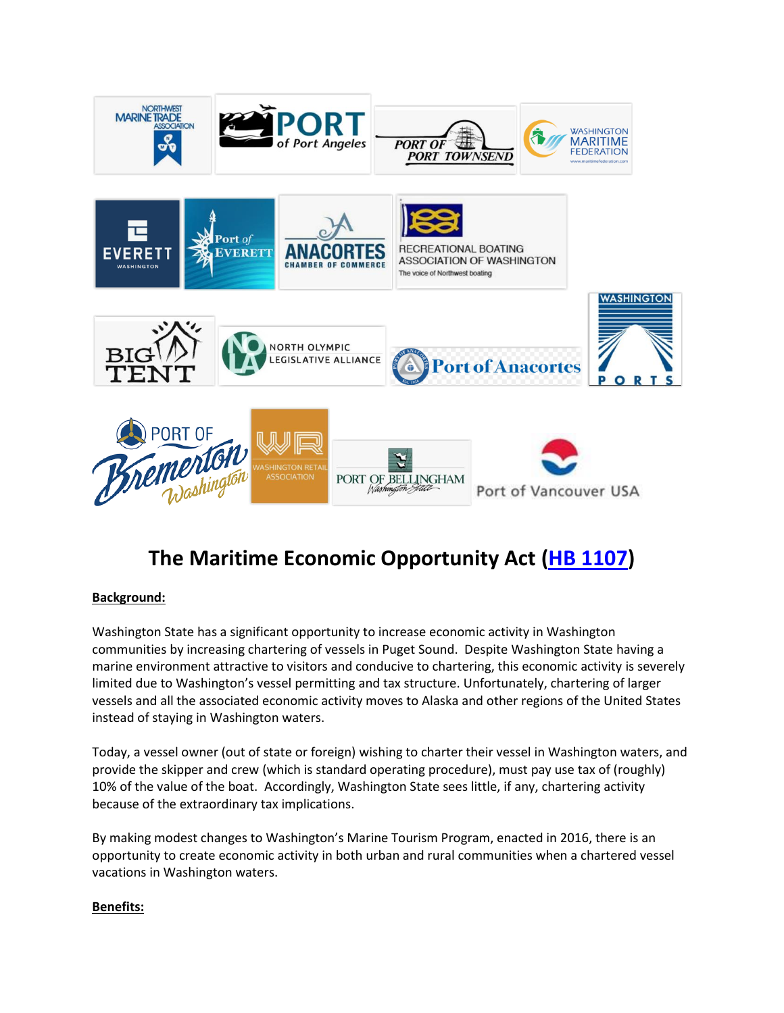

# **The Maritime Economic Opportunity Act [\(HB 1107\)](https://app.leg.wa.gov/billsummary?BillNumber=1107&Year=2021&Initiative=false)**

#### **Background:**

Washington State has a significant opportunity to increase economic activity in Washington communities by increasing chartering of vessels in Puget Sound. Despite Washington State having a marine environment attractive to visitors and conducive to chartering, this economic activity is severely limited due to Washington's vessel permitting and tax structure. Unfortunately, chartering of larger vessels and all the associated economic activity moves to Alaska and other regions of the United States instead of staying in Washington waters.

Today, a vessel owner (out of state or foreign) wishing to charter their vessel in Washington waters, and provide the skipper and crew (which is standard operating procedure), must pay use tax of (roughly) 10% of the value of the boat. Accordingly, Washington State sees little, if any, chartering activity because of the extraordinary tax implications.

By making modest changes to Washington's Marine Tourism Program, enacted in 2016, there is an opportunity to create economic activity in both urban and rural communities when a chartered vessel vacations in Washington waters.

#### **Benefits:**